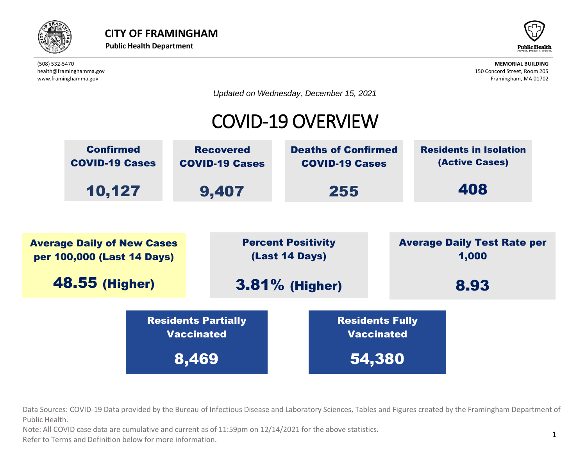



*Updated on Wednesday, December 15, 2021*

### COVID-19 OVERVIEW



beta provided by the Bureau of Infectious Disease and Laboratory Sciences, Tables and Fig. Data Sources: COVID-19 Data provided by the Bureau of Infectious Disease and Laboratory Sciences, Tables and Figures created by the Framingham Department of  $\overline{\phantom{a}}$ Public Health. Vaccinated Residents Partially IC Dureau Or innec

bte: All COVID case data are cumulative and current as of  $11:59$ pm on  $12/14/2021$  for the above statistics. Note: All COVID case data are cumulative and current as of 11:59pm on 12/14/2021 for the above statistics.

normation. Refer to Terms and Definition below for more information.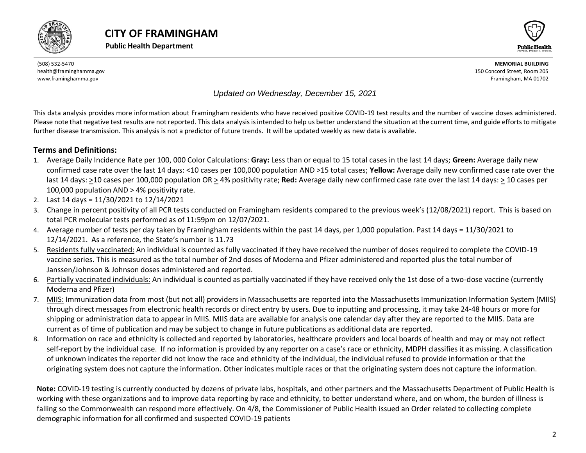





#### *Updated on Wednesday, December 15, 2021*

This data analysis provides more information about Framingham residents who have received positive COVID-19 test results and the number of vaccine doses administered. Please note that negative test results are not reported. This data analysis is intended to help us better understand the situation at the current time, and guide efforts to mitigate further disease transmission. This analysis is not a predictor of future trends. It will be updated weekly as new data is available.

#### **Terms and Definitions:**

- 1. Average Daily Incidence Rate per 100, 000 Color Calculations: **Gray:** Less than or equal to 15 total cases in the last 14 days; **Green:** Average daily new confirmed case rate over the last 14 days: <10 cases per 100,000 population AND >15 total cases; **Yellow:** Average daily new confirmed case rate over the last 14 days: >10 cases per 100,000 population OR > 4% positivity rate; **Red:** Average daily new confirmed case rate over the last 14 days: > 10 cases per 100,000 population AND > 4% positivity rate.
- 2. Last 14 days = 11/30/2021 to 12/14/2021
- 3. Change in percent positivity of all PCR tests conducted on Framingham residents compared to the previous week's (12/08/2021) report. This is based on total PCR molecular tests performed as of 11:59pm on 12/07/2021.
- 4. Average number of tests per day taken by Framingham residents within the past 14 days, per 1,000 population. Past 14 days = 11/30/2021 to 12/14/2021. As a reference, the State's number is 11.73
- 5. Residents fully vaccinated: An individual is counted as fully vaccinated if they have received the number of doses required to complete the COVID-19 vaccine series. This is measured as the total number of 2nd doses of Moderna and Pfizer administered and reported plus the total number of Janssen/Johnson & Johnson doses administered and reported.
- 6. Partially vaccinated individuals: An individual is counted as partially vaccinated if they have received only the 1st dose of a two-dose vaccine (currently Moderna and Pfizer)
- 7. MIIS: Immunization data from most (but not all) providers in Massachusetts are reported into the Massachusetts Immunization Information System (MIIS) through direct messages from electronic health records or direct entry by users. Due to inputting and processing, it may take 24-48 hours or more for shipping or administration data to appear in MIIS. MIIS data are available for analysis one calendar day after they are reported to the MIIS. Data are current as of time of publication and may be subject to change in future publications as additional data are reported.
- 8. Information on race and ethnicity is collected and reported by laboratories, healthcare providers and local boards of health and may or may not reflect self-report by the individual case. If no information is provided by any reporter on a case's race or ethnicity, MDPH classifies it as missing. A classification of unknown indicates the reporter did not know the race and ethnicity of the individual, the individual refused to provide information or that the originating system does not capture the information. Other indicates multiple races or that the originating system does not capture the information.

<span id="page-1-0"></span>**Note:** COVID-19 testing is currently conducted by dozens of private labs, hospitals, and other partners and the Massachusetts Department of Public Health is working with these organizations and to improve data reporting by race and ethnicity, to better understand where, and on whom, the burden of illness is falling so the Commonwealth can respond more effectively. On 4/8, the Commissioner of Public Health issued an Order related to collecting complete demographic information for all confirmed and suspected COVID-19 patients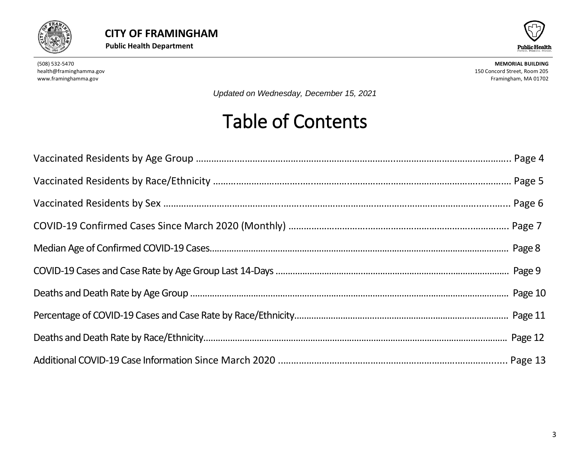



*Updated on Wednesday, December 15, 2021*

# Table of Contents

<span id="page-2-0"></span>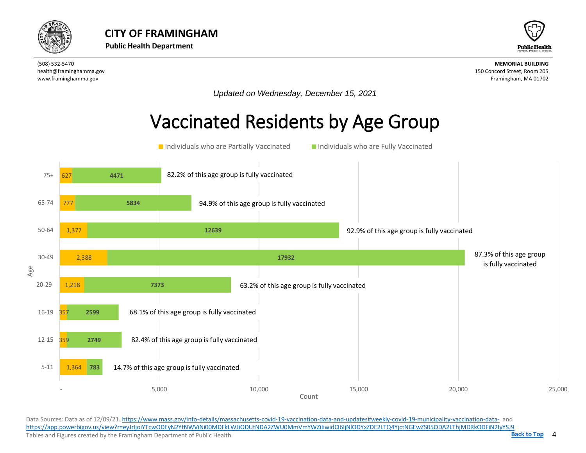



*Updated on Wednesday, December 15, 2021*

## Vaccinated Residents by Age Group



Data Sources: Data as of 12/09/21[. https://www.mass.gov/info-details/massachusetts-covid-19-vaccination-data-and-updates#weekly-covid-19-municipality-vaccination-data-](https://www.mass.gov/info-details/massachusetts-covid-19-vaccination-data-and-updates#weekly-covid-19-municipality-vaccination-data-) and <https://app.powerbigov.us/view?r=eyJrIjoiYTcwODEyN2YtNWViNi00MDFkLWJiODUtNDA2ZWU0MmVmYWZiIiwidCI6IjNlODYxZDE2LTQ4YjctNGEwZS05ODA2LThjMDRkODFiN2IyYSJ9> Tables and Figures created by the Framingham Department of Public Health.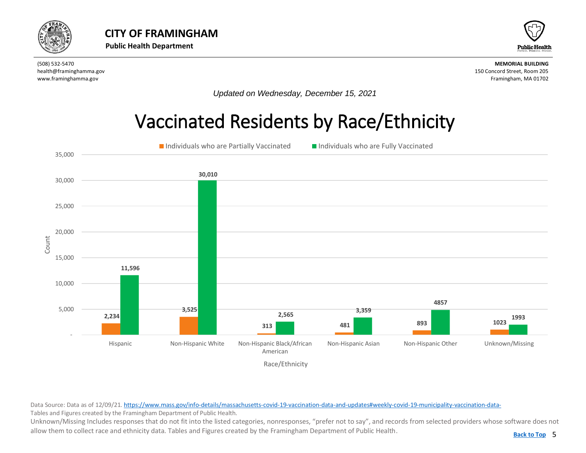<span id="page-4-0"></span>



*Updated on Wednesday, December 15, 2021*

## Vaccinated Residents by Race/Ethnicity



Data Source: Data as of 12/09/21[. https://www.mass.gov/info-details/massachusetts-covid-19-vaccination-data-and-updates#weekly-covid-19-municipality-vaccination-data-](https://www.mass.gov/info-details/massachusetts-covid-19-vaccination-data-and-updates#weekly-covid-19-municipality-vaccination-data-)Tables and Figures created by the Framingham Department of Public Health.

Unknown/Missing Includes responses that do not fit into the listed categories, nonresponses, "prefer not to say", and records from selected providers whose software does not allow them to collect race and ethnicity data. Tables and Figures created by the Framingham Department of Public Health.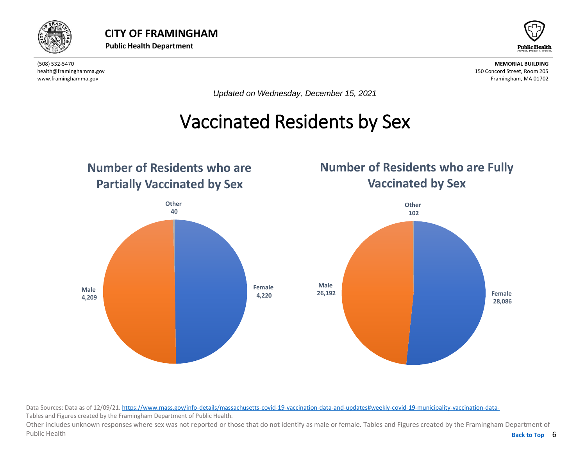



*Updated on Wednesday, December 15, 2021*

#### Vaccinated Residents by Sex  $\overline{a}$

<span id="page-5-0"></span>

Data Sources: Data as of 12/09/21[. https://www.mass.gov/info-details/massachusetts-covid-19-vaccination-data-and-updates#weekly-covid-19-municipality-vaccination-data-](https://www.mass.gov/info-details/massachusetts-covid-19-vaccination-data-and-updates#weekly-covid-19-municipality-vaccination-data-)Tables and Figures created by the Framingham Department of Public Health.

Back to Top 6 Other includes unknown responses where sex was not reported or those that do not identify as male or female. Tables and Figures created by the Framingham Department of Public Health **[Back to Top](#page-1-0)**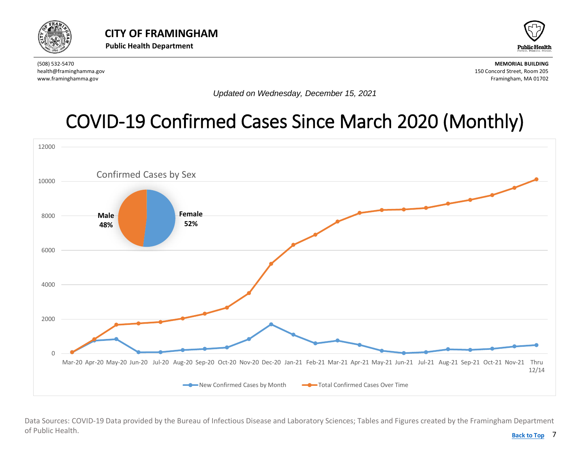<span id="page-6-0"></span>



*Updated on Wednesday, December 15, 2021*

# [COVID-19 Confirmed Cases Since March 2020](#page-6-0) (Monthly)



Data Sources: COVID-19 Data provided by the Bureau of Infectious Disease and Laboratory Sciences; Tables and Figures created by the Framingham Department of Public Health.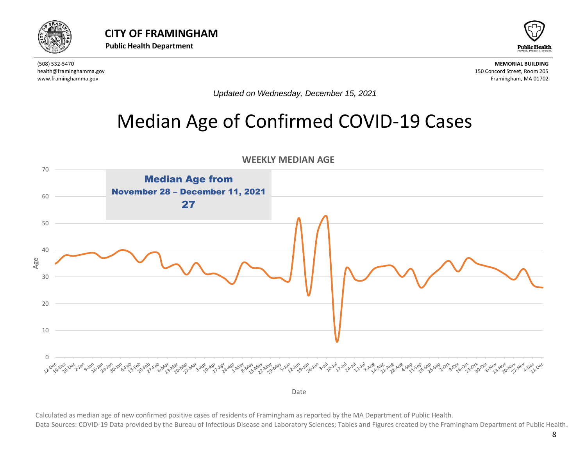



*Updated on Wednesday, December 15, 2021*

### Median Age of Confirmed COVID-19 Cases

<span id="page-7-0"></span>

Date

Calculated as median age of new confirmed positive cases of residents of Framingham as reported by the MA Department of Public Health.

Data Sources: COVID-19 Data provided by the Bureau of Infectious Disease and Laboratory Sciences; Tables and Figures created by the Framingham Department of Public Health.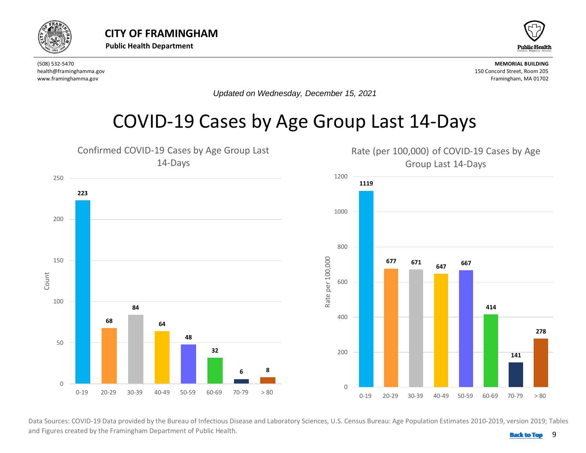<span id="page-8-0"></span>



*Updated on Wednesday, December 15, 2021*

### COVID-19 Cases by Age Group Last 14-Days



 .<br>Data Sources: COVID-19 Data provided by the Bureau of Infectious Disease and Laboratory Sciences, U.S. Census Bureau: Age Population Estimates 2010-2019, version 2019; Tables and Figures created by the Framingham Department of Public Health. **Back 10 and 1999 [Back to Top](#page-1-0)**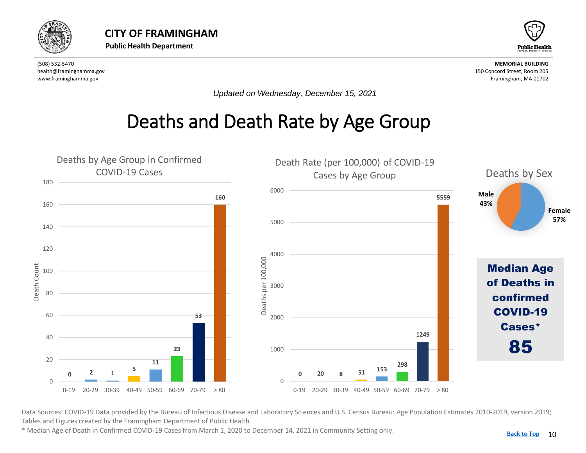<span id="page-9-0"></span>



*Updated on Wednesday, December 15, 2021*

## Deaths and Death Rate by Age Group



Data Sources: COVID-19 Data provided by the Bureau of Infectious Disease and Laboratory Sciences and U.S. Census Bureau: Age Population Estimates 2010-2019, version 2019; Tables and Figures created by the Framingham Department of Public Health.

\* Median Age of Death in Confirmed COVID-19 Cases from March 1, 2020 to December 14, 2021 in Community Setting only.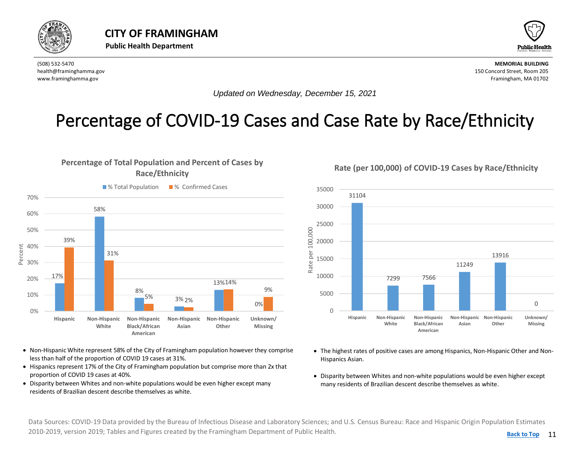<span id="page-10-0"></span>

0%

Percent

**Hispanic Non-Hispanic**

**White**



(508) 532-5470 **MEMORIAL BUILDING** health@framinghamma.gov 150 Concord Street, Room 205 www.framinghamma.gov Framingham, MA 01702

*Updated on Wednesday, December 15, 2021*

#### Percentage of COVID-19 Cases and Case Rate by Race/Ethnicity



#### **Percentage of Total Population and Percent of Cases by**



• Non-Hispanic White represent 58% of the City of Framingham population however they comprise less than half of the proportion of COVID 19 cases at 31%.

**Non-Hispanic Asian**

**Non-Hispanic Other**

**Unknown/ Missing**

- Hispanics represent 17% of the City of Framingham population but comprise more than 2x that proportion of COVID 19 cases at 40%.
- Disparity between Whites and non-white populations would be even higher except many residents of Brazilian descent describe themselves as white.

**Non-Hispanic Black/African American**

- The highest rates of positive cases are among Hispanics, Non-Hispanic Other and Non-Hispanics Asian.
- Disparity between Whites and non-white populations would be even higher except many residents of Brazilian descent describe themselves as white.

Data Sources: COVID-19 Data provided by the Bureau of Infectious Disease and Laboratory Sciences; and U.S. Census Bureau: Race and Hispanic Origin Population Estimates 2010-2019, version 2019; Tables and Figures created by the Framingham Department of Public Health.

#### **Rate (per 100,000) of COVID-19 Cases by Race/Ethnicity**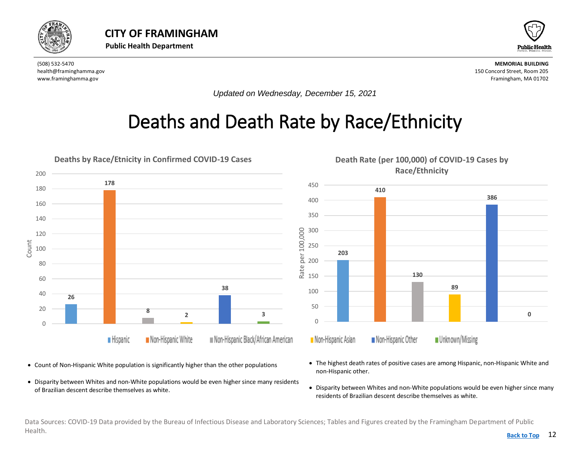<span id="page-11-0"></span>



*Updated on Wednesday, December 15, 2021*

## Deaths and Death Rate by Race/Ethnicity



- Count of Non-Hispanic White population is significantly higher than the other populations
- Disparity between Whites and non-White populations would be even higher since many residents of Brazilian descent describe themselves as white.
- The highest death rates of positive cases are among Hispanic, non-Hispanic White and non-Hispanic other.
- Disparity between Whites and non-White populations would be even higher since many residents of Brazilian descent describe themselves as white.

Data Sources: COVID-19 Data provided by the Bureau of Infectious Disease and Laboratory Sciences; Tables and Figures created by the Framingham Department of Public Health. **[Back to Top](#page-1-0)**